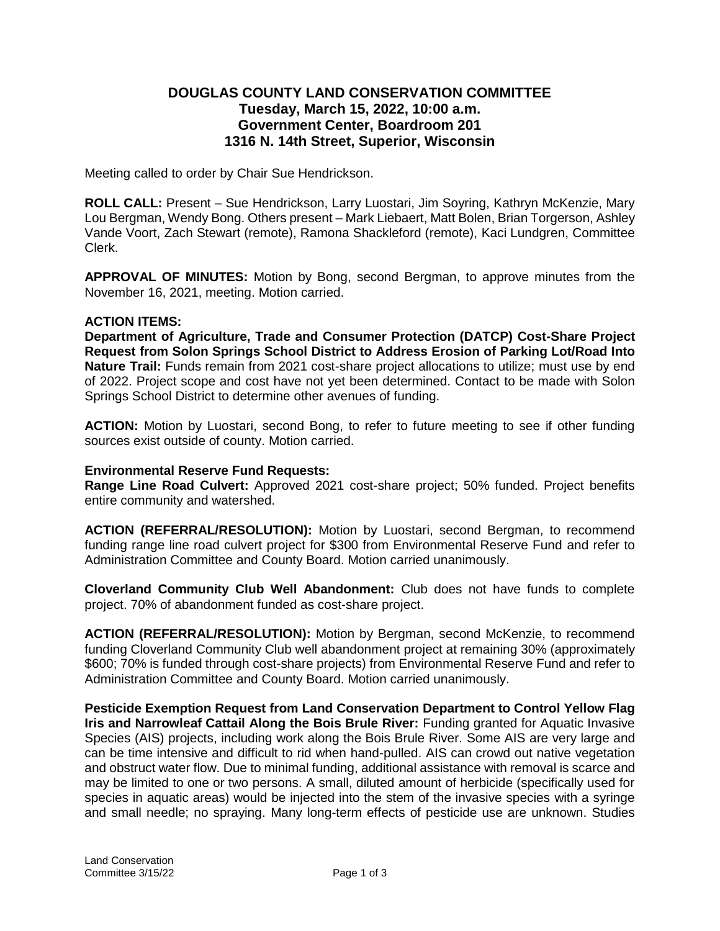# **DOUGLAS COUNTY LAND CONSERVATION COMMITTEE Tuesday, March 15, 2022, 10:00 a.m. Government Center, Boardroom 201 1316 N. 14th Street, Superior, Wisconsin**

Meeting called to order by Chair Sue Hendrickson.

**ROLL CALL:** Present – Sue Hendrickson, Larry Luostari, Jim Soyring, Kathryn McKenzie, Mary Lou Bergman, Wendy Bong. Others present – Mark Liebaert, Matt Bolen, Brian Torgerson, Ashley Vande Voort, Zach Stewart (remote), Ramona Shackleford (remote), Kaci Lundgren, Committee Clerk.

**APPROVAL OF MINUTES:** Motion by Bong, second Bergman, to approve minutes from the November 16, 2021, meeting. Motion carried.

### **ACTION ITEMS:**

**Department of Agriculture, Trade and Consumer Protection (DATCP) Cost-Share Project Request from Solon Springs School District to Address Erosion of Parking Lot/Road Into Nature Trail:** Funds remain from 2021 cost-share project allocations to utilize; must use by end of 2022. Project scope and cost have not yet been determined. Contact to be made with Solon Springs School District to determine other avenues of funding.

**ACTION:** Motion by Luostari, second Bong, to refer to future meeting to see if other funding sources exist outside of county. Motion carried.

### **Environmental Reserve Fund Requests:**

**Range Line Road Culvert:** Approved 2021 cost-share project; 50% funded. Project benefits entire community and watershed.

**ACTION (REFERRAL/RESOLUTION):** Motion by Luostari, second Bergman, to recommend funding range line road culvert project for \$300 from Environmental Reserve Fund and refer to Administration Committee and County Board. Motion carried unanimously.

**Cloverland Community Club Well Abandonment:** Club does not have funds to complete project. 70% of abandonment funded as cost-share project.

**ACTION (REFERRAL/RESOLUTION):** Motion by Bergman, second McKenzie, to recommend funding Cloverland Community Club well abandonment project at remaining 30% (approximately \$600; 70% is funded through cost-share projects) from Environmental Reserve Fund and refer to Administration Committee and County Board. Motion carried unanimously.

**Pesticide Exemption Request from Land Conservation Department to Control Yellow Flag Iris and Narrowleaf Cattail Along the Bois Brule River:** Funding granted for Aquatic Invasive Species (AIS) projects, including work along the Bois Brule River. Some AIS are very large and can be time intensive and difficult to rid when hand-pulled. AIS can crowd out native vegetation and obstruct water flow. Due to minimal funding, additional assistance with removal is scarce and may be limited to one or two persons. A small, diluted amount of herbicide (specifically used for species in aquatic areas) would be injected into the stem of the invasive species with a syringe and small needle; no spraying. Many long-term effects of pesticide use are unknown. Studies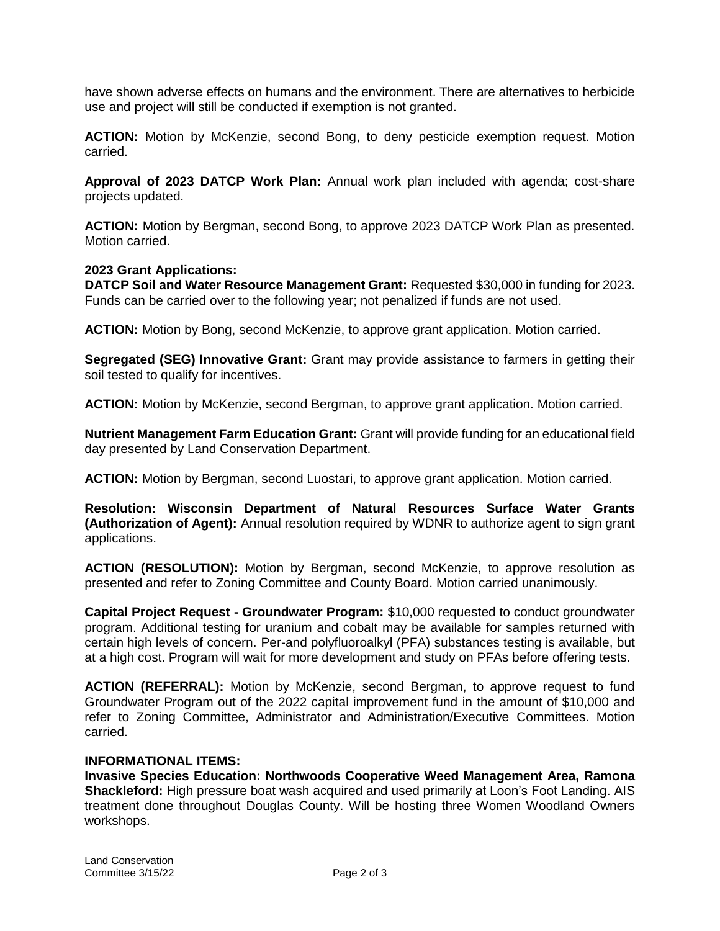have shown adverse effects on humans and the environment. There are alternatives to herbicide use and project will still be conducted if exemption is not granted.

**ACTION:** Motion by McKenzie, second Bong, to deny pesticide exemption request. Motion carried.

**Approval of 2023 DATCP Work Plan:** Annual work plan included with agenda; cost-share projects updated.

**ACTION:** Motion by Bergman, second Bong, to approve 2023 DATCP Work Plan as presented. Motion carried.

## **2023 Grant Applications:**

**DATCP Soil and Water Resource Management Grant:** Requested \$30,000 in funding for 2023. Funds can be carried over to the following year; not penalized if funds are not used.

**ACTION:** Motion by Bong, second McKenzie, to approve grant application. Motion carried.

**Segregated (SEG) Innovative Grant:** Grant may provide assistance to farmers in getting their soil tested to qualify for incentives.

**ACTION:** Motion by McKenzie, second Bergman, to approve grant application. Motion carried.

**Nutrient Management Farm Education Grant:** Grant will provide funding for an educational field day presented by Land Conservation Department.

**ACTION:** Motion by Bergman, second Luostari, to approve grant application. Motion carried.

**Resolution: Wisconsin Department of Natural Resources Surface Water Grants (Authorization of Agent):** Annual resolution required by WDNR to authorize agent to sign grant applications.

**ACTION (RESOLUTION):** Motion by Bergman, second McKenzie, to approve resolution as presented and refer to Zoning Committee and County Board. Motion carried unanimously.

**Capital Project Request - Groundwater Program:** \$10,000 requested to conduct groundwater program. Additional testing for uranium and cobalt may be available for samples returned with certain high levels of concern. Per-and polyfluoroalkyl (PFA) substances testing is available, but at a high cost. Program will wait for more development and study on PFAs before offering tests.

**ACTION (REFERRAL):** Motion by McKenzie, second Bergman, to approve request to fund Groundwater Program out of the 2022 capital improvement fund in the amount of \$10,000 and refer to Zoning Committee, Administrator and Administration/Executive Committees. Motion carried.

### **INFORMATIONAL ITEMS:**

**Invasive Species Education: Northwoods Cooperative Weed Management Area, Ramona Shackleford:** High pressure boat wash acquired and used primarily at Loon's Foot Landing. AIS treatment done throughout Douglas County. Will be hosting three Women Woodland Owners workshops.